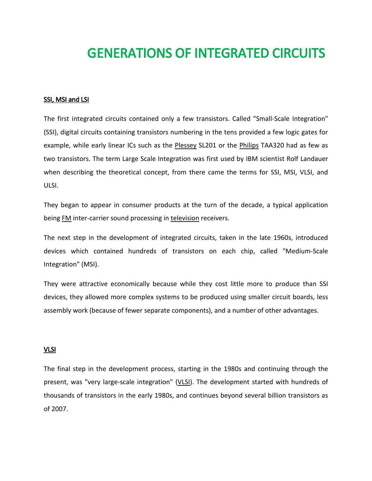## GENERATIONS OF INTEGRATED CIRCUITS

## SSI, MSI and LSI

The first integrated circuits contained only a few transistors. Called "Small-Scale Integration" (SSI), digital circuits containing transistors numbering in the tens provided a few logic gates for example, while early linear ICs such as the [Plessey](http://en.wikipedia.org/wiki/Plessey) SL201 or the [Philips](http://en.wikipedia.org/wiki/Philips) TAA320 had as few as two transistors. The term Large Scale Integration was first used by IBM scientist Rolf Landauer when describing the theoretical concept, from there came the terms for SSI, MSI, VLSI, and ULSI.

They began to appear in consumer products at the turn of the decade, a typical application bein[g FM](http://en.wikipedia.org/wiki/FM) inter-carrier sound processing in [television](http://en.wikipedia.org/wiki/Television) receivers.

The next step in the development of integrated circuits, taken in the late 1960s, introduced devices which contained hundreds of transistors on each chip, called "Medium-Scale Integration" (MSI).

They were attractive economically because while they cost little more to produce than SSI devices, they allowed more complex systems to be produced using smaller circuit boards, less assembly work (because of fewer separate components), and a number of other advantages.

## VLSI

The final step in the development process, starting in the 1980s and continuing through the present, was "very large-scale integration" [\(VLSI\)](http://en.wikipedia.org/wiki/VLSI). The development started with hundreds of thousands of transistors in the early 1980s, and continues beyond several billion transistors as of 2007.